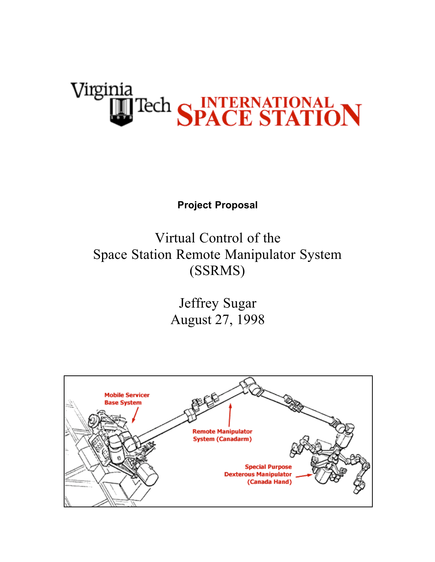# <u>Virginia</u> **Tech SPACE STATION**

**Project Proposal**

Virtual Control of the Space Station Remote Manipulator System (SSRMS)

> Jeffrey Sugar August 27, 1998

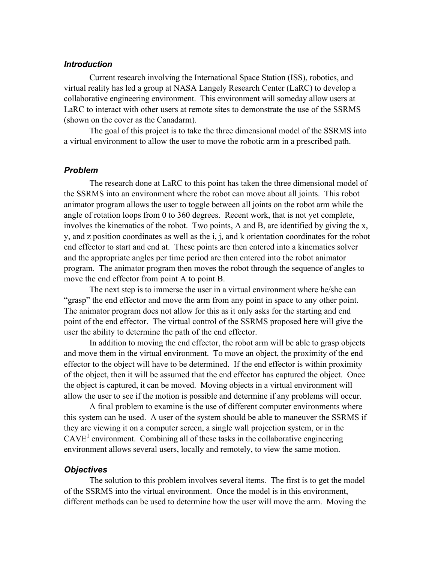## *Introduction*

Current research involving the International Space Station (ISS), robotics, and virtual reality has led a group at NASA Langely Research Center (LaRC) to develop a collaborative engineering environment. This environment will someday allow users at LaRC to interact with other users at remote sites to demonstrate the use of the SSRMS (shown on the cover as the Canadarm).

The goal of this project is to take the three dimensional model of the SSRMS into a virtual environment to allow the user to move the robotic arm in a prescribed path.

#### *Problem*

The research done at LaRC to this point has taken the three dimensional model of the SSRMS into an environment where the robot can move about all joints. This robot animator program allows the user to toggle between all joints on the robot arm while the angle of rotation loops from 0 to 360 degrees. Recent work, that is not yet complete, involves the kinematics of the robot. Two points, A and B, are identified by giving the x, y, and z position coordinates as well as the i, j, and k orientation coordinates for the robot end effector to start and end at. These points are then entered into a kinematics solver and the appropriate angles per time period are then entered into the robot animator program. The animator program then moves the robot through the sequence of angles to move the end effector from point A to point B.

The next step is to immerse the user in a virtual environment where he/she can "grasp" the end effector and move the arm from any point in space to any other point. The animator program does not allow for this as it only asks for the starting and end point of the end effector. The virtual control of the SSRMS proposed here will give the user the ability to determine the path of the end effector.

In addition to moving the end effector, the robot arm will be able to grasp objects and move them in the virtual environment. To move an object, the proximity of the end effector to the object will have to be determined. If the end effector is within proximity of the object, then it will be assumed that the end effector has captured the object. Once the object is captured, it can be moved. Moving objects in a virtual environment will allow the user to see if the motion is possible and determine if any problems will occur.

A final problem to examine is the use of different computer environments where this system can be used. A user of the system should be able to maneuver the SSRMS if they are viewing it on a computer screen, a single wall projection system, or in the  $CAVE<sup>1</sup>$  environment. Combining all of these tasks in the collaborative engineering environment allows several users, locally and remotely, to view the same motion.

## *Objectives*

The solution to this problem involves several items. The first is to get the model of the SSRMS into the virtual environment. Once the model is in this environment, different methods can be used to determine how the user will move the arm. Moving the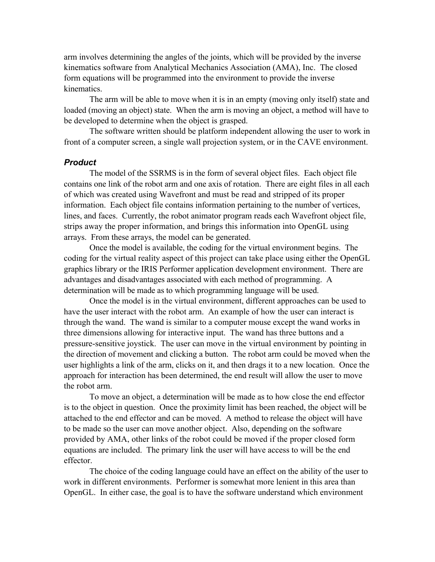arm involves determining the angles of the joints, which will be provided by the inverse kinematics software from Analytical Mechanics Association (AMA), Inc. The closed form equations will be programmed into the environment to provide the inverse kinematics.

The arm will be able to move when it is in an empty (moving only itself) state and loaded (moving an object) state. When the arm is moving an object, a method will have to be developed to determine when the object is grasped.

The software written should be platform independent allowing the user to work in front of a computer screen, a single wall projection system, or in the CAVE environment.

#### *Product*

The model of the SSRMS is in the form of several object files. Each object file contains one link of the robot arm and one axis of rotation. There are eight files in all each of which was created using Wavefront and must be read and stripped of its proper information. Each object file contains information pertaining to the number of vertices, lines, and faces. Currently, the robot animator program reads each Wavefront object file, strips away the proper information, and brings this information into OpenGL using arrays. From these arrays, the model can be generated.

Once the model is available, the coding for the virtual environment begins. The coding for the virtual reality aspect of this project can take place using either the OpenGL graphics library or the IRIS Performer application development environment. There are advantages and disadvantages associated with each method of programming. A determination will be made as to which programming language will be used.

Once the model is in the virtual environment, different approaches can be used to have the user interact with the robot arm. An example of how the user can interact is through the wand. The wand is similar to a computer mouse except the wand works in three dimensions allowing for interactive input. The wand has three buttons and a pressure-sensitive joystick. The user can move in the virtual environment by pointing in the direction of movement and clicking a button. The robot arm could be moved when the user highlights a link of the arm, clicks on it, and then drags it to a new location. Once the approach for interaction has been determined, the end result will allow the user to move the robot arm.

To move an object, a determination will be made as to how close the end effector is to the object in question. Once the proximity limit has been reached, the object will be attached to the end effector and can be moved. A method to release the object will have to be made so the user can move another object. Also, depending on the software provided by AMA, other links of the robot could be moved if the proper closed form equations are included. The primary link the user will have access to will be the end effector.

The choice of the coding language could have an effect on the ability of the user to work in different environments. Performer is somewhat more lenient in this area than OpenGL. In either case, the goal is to have the software understand which environment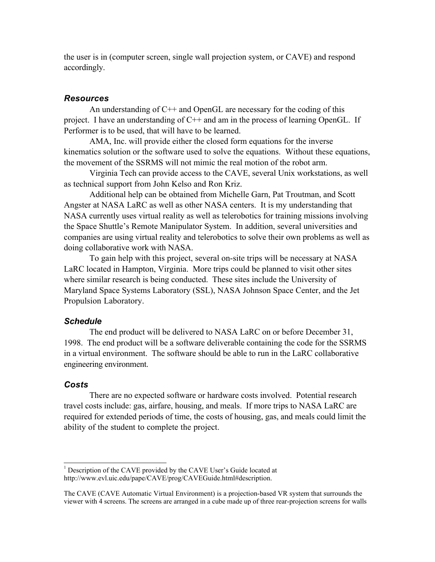the user is in (computer screen, single wall projection system, or CAVE) and respond accordingly.

#### *Resources*

An understanding of  $C_{++}$  and OpenGL are necessary for the coding of this project. I have an understanding of C++ and am in the process of learning OpenGL. If Performer is to be used, that will have to be learned.

AMA, Inc. will provide either the closed form equations for the inverse kinematics solution or the software used to solve the equations. Without these equations, the movement of the SSRMS will not mimic the real motion of the robot arm.

Virginia Tech can provide access to the CAVE, several Unix workstations, as well as technical support from John Kelso and Ron Kriz.

Additional help can be obtained from Michelle Garn, Pat Troutman, and Scott Angster at NASA LaRC as well as other NASA centers. It is my understanding that NASA currently uses virtual reality as well as telerobotics for training missions involving the Space Shuttle's Remote Manipulator System. In addition, several universities and companies are using virtual reality and telerobotics to solve their own problems as well as doing collaborative work with NASA.

To gain help with this project, several on-site trips will be necessary at NASA LaRC located in Hampton, Virginia. More trips could be planned to visit other sites where similar research is being conducted. These sites include the University of Maryland Space Systems Laboratory (SSL), NASA Johnson Space Center, and the Jet Propulsion Laboratory.

### *Schedule*

The end product will be delivered to NASA LaRC on or before December 31, 1998. The end product will be a software deliverable containing the code for the SSRMS in a virtual environment. The software should be able to run in the LaRC collaborative engineering environment.

#### *Costs*

 $\overline{a}$ 

There are no expected software or hardware costs involved. Potential research travel costs include: gas, airfare, housing, and meals. If more trips to NASA LaRC are required for extended periods of time, the costs of housing, gas, and meals could limit the ability of the student to complete the project.

 $<sup>1</sup>$  Description of the CAVE provided by the CAVE User's Guide located at</sup> http://www.evl.uic.edu/pape/CAVE/prog/CAVEGuide.html#description.

The CAVE (CAVE Automatic Virtual Environment) is a projection-based VR system that surrounds the viewer with 4 screens. The screens are arranged in a cube made up of three rear-projection screens for walls